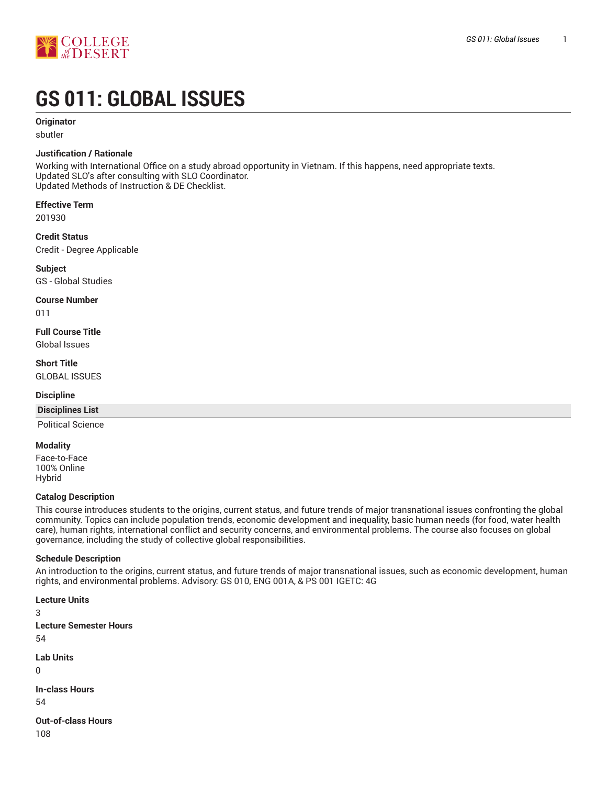

# **GS 011: GLOBAL ISSUES**

#### **Originator**

sbutler

#### **Justification / Rationale**

Working with International Office on a study abroad opportunity in Vietnam. If this happens, need appropriate texts. Updated SLO's after consulting with SLO Coordinator. Updated Methods of Instruction & DE Checklist.

**Effective Term**

201930

**Credit Status** Credit - Degree Applicable

**Subject**

GS - Global Studies

**Course Number**

011

**Full Course Title** Global Issues

**Short Title** GLOBAL ISSUES

#### **Discipline**

#### **Disciplines List**

Political Science

#### **Modality**

Face-to-Face 100% Online Hybrid

#### **Catalog Description**

This course introduces students to the origins, current status, and future trends of major transnational issues confronting the global community. Topics can include population trends, economic development and inequality, basic human needs (for food, water health care), human rights, international conflict and security concerns, and environmental problems. The course also focuses on global governance, including the study of collective global responsibilities.

#### **Schedule Description**

An introduction to the origins, current status, and future trends of major transnational issues, such as economic development, human rights, and environmental problems. Advisory: GS 010, ENG 001A, & PS 001 IGETC: 4G

**Lecture Units** 3 **Lecture Semester Hours** 54 **Lab Units** 0 **In-class Hours** 54

**Out-of-class Hours** 108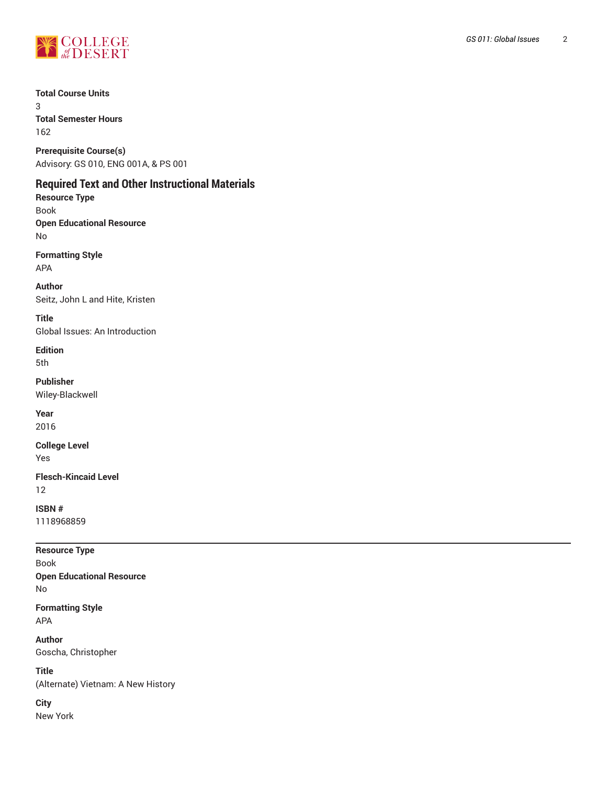

**Total Course Units** 3 **Total Semester Hours**

162

**Prerequisite Course(s)** Advisory: GS 010, ENG 001A, & PS 001

## **Required Text and Other Instructional Materials**

**Resource Type** Book **Open Educational Resource** No

**Formatting Style** APA

**Author** Seitz, John L and Hite, Kristen

**Title** Global Issues: An Introduction

**Edition** 5th

**Publisher** Wiley-Blackwell

**Year**

2016

**College Level**

Yes

**Flesch-Kincaid Level** 12

**ISBN #** 1118968859

**Resource Type** Book **Open Educational Resource** No **Formatting Style**

APA **Author**

Goscha, Christopher

**Title** (Alternate) Vietnam: A New History

**City** New York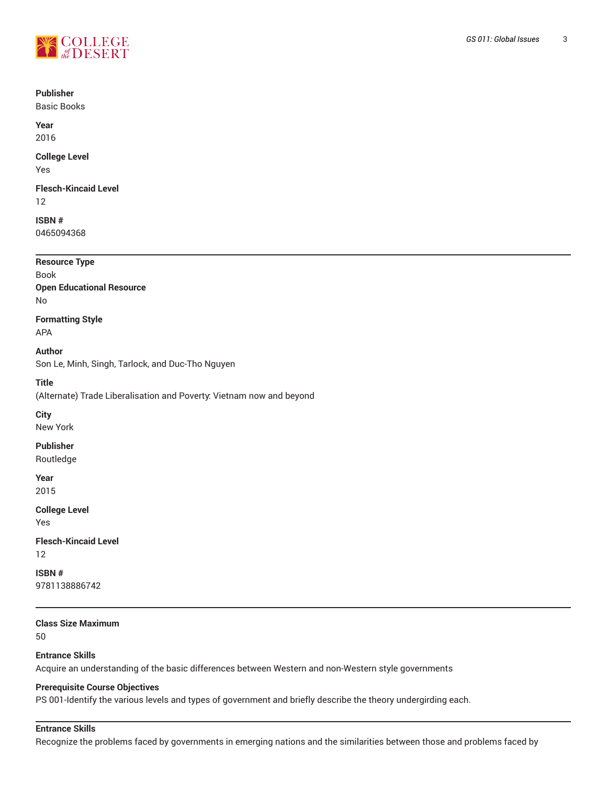

#### **Publisher**

Basic Books

**Year** 2016

## **College Level**

Yes

#### **Flesch-Kincaid Level** 12

**ISBN #** 0465094368

## **Resource Type** Book **Open Educational Resource** No

**Formatting Style**

APA

**Author** Son Le, Minh, Singh, Tarlock, and Duc-Tho Nguyen

**Title**

(Alternate) Trade Liberalisation and Poverty: Vietnam now and beyond

**City**

New York

**Publisher**

Routledge

**Year** 2015

**College Level** Yes

**Flesch-Kincaid Level** 12

**ISBN #** 9781138886742

**Class Size Maximum**

50

## **Entrance Skills**

Acquire an understanding of the basic differences between Western and non-Western style governments

#### **Prerequisite Course Objectives**

PS 001-Identify the various levels and types of government and briefly describe the theory undergirding each.

## **Entrance Skills**

Recognize the problems faced by governments in emerging nations and the similarities between those and problems faced by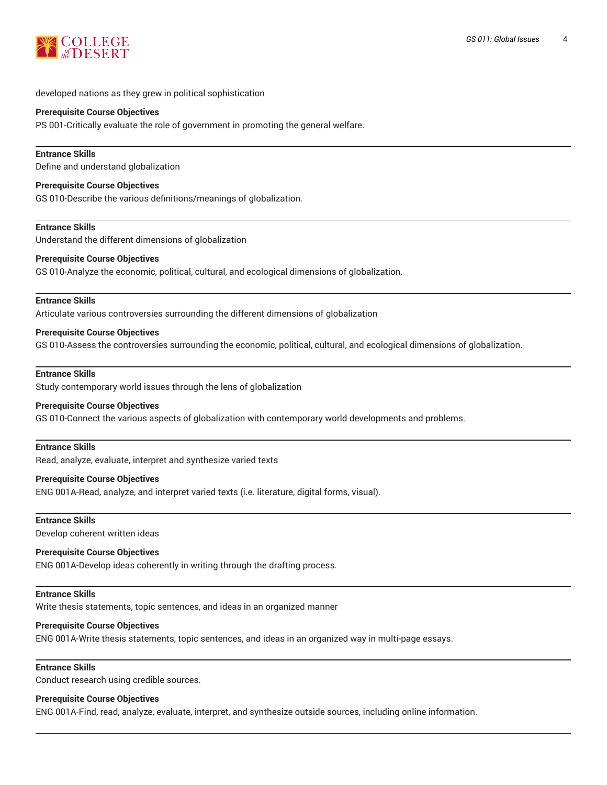

developed nations as they grew in political sophistication

#### **Prerequisite Course Objectives**

PS 001-Critically evaluate the role of government in promoting the general welfare.

#### **Entrance Skills**

Define and understand globalization

#### **Prerequisite Course Objectives**

GS 010-Describe the various definitions/meanings of globalization.

#### **Entrance Skills**

Understand the different dimensions of globalization

#### **Prerequisite Course Objectives**

GS 010-Analyze the economic, political, cultural, and ecological dimensions of globalization.

#### **Entrance Skills**

Articulate various controversies surrounding the different dimensions of globalization

#### **Prerequisite Course Objectives**

GS 010-Assess the controversies surrounding the economic, political, cultural, and ecological dimensions of globalization.

#### **Entrance Skills**

Study contemporary world issues through the lens of globalization

#### **Prerequisite Course Objectives**

GS 010-Connect the various aspects of globalization with contemporary world developments and problems.

#### **Entrance Skills**

Read, analyze, evaluate, interpret and synthesize varied texts

#### **Prerequisite Course Objectives**

ENG 001A-Read, analyze, and interpret varied texts (i.e. literature, digital forms, visual).

#### **Entrance Skills**

Develop coherent written ideas

#### **Prerequisite Course Objectives**

ENG 001A-Develop ideas coherently in writing through the drafting process.

#### **Entrance Skills**

Write thesis statements, topic sentences, and ideas in an organized manner

#### **Prerequisite Course Objectives**

ENG 001A-Write thesis statements, topic sentences, and ideas in an organized way in multi-page essays.

#### **Entrance Skills**

Conduct research using credible sources.

#### **Prerequisite Course Objectives**

ENG 001A-Find, read, analyze, evaluate, interpret, and synthesize outside sources, including online information.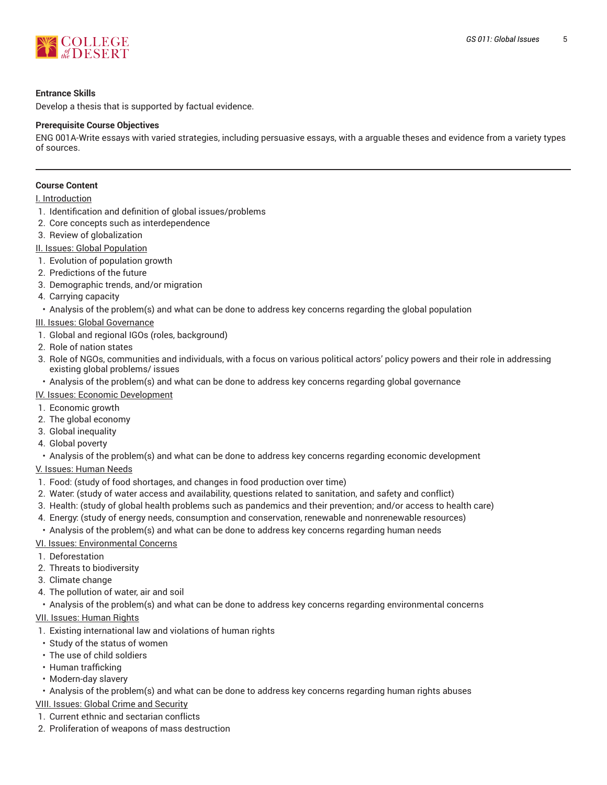

#### **Entrance Skills**

Develop a thesis that is supported by factual evidence.

#### **Prerequisite Course Objectives**

ENG 001A-Write essays with varied strategies, including persuasive essays, with a arguable theses and evidence from a variety types of sources.

#### **Course Content**

#### I. Introduction

- 1. Identification and definition of global issues/problems
- 2. Core concepts such as interdependence
- 3. Review of globalization

II. Issues: Global Population

- 1. Evolution of population growth
- 2. Predictions of the future
- 3. Demographic trends, and/or migration
- 4. Carrying capacity
- Analysis of the problem(s) and what can be done to address key concerns regarding the global population
- III. Issues: Global Governance
- 1. Global and regional IGOs (roles, background)
- 2. Role of nation states
- 3. Role of NGOs, communities and individuals, with a focus on various political actors' policy powers and their role in addressing existing global problems/ issues
- Analysis of the problem(s) and what can be done to address key concerns regarding global governance
- IV. Issues: Economic Development
- 1. Economic growth
- 2. The global economy
- 3. Global inequality
- 4. Global poverty
- Analysis of the problem(s) and what can be done to address key concerns regarding economic development
- V. Issues: Human Needs
- 1. Food: (study of food shortages, and changes in food production over time)
- 2. Water: (study of water access and availability, questions related to sanitation, and safety and conflict)
- 3. Health: (study of global health problems such as pandemics and their prevention; and/or access to health care)
- 4. Energy: (study of energy needs, consumption and conservation, renewable and nonrenewable resources)
- Analysis of the problem(s) and what can be done to address key concerns regarding human needs
- VI. Issues: Environmental Concerns
- 1. Deforestation
- 2. Threats to biodiversity
- 3. Climate change
- 4. The pollution of water, air and soil
- Analysis of the problem(s) and what can be done to address key concerns regarding environmental concerns
- VII. Issues: Human Rights
- 1. Existing international law and violations of human rights
- Study of the status of women
- The use of child soldiers
- Human trafficking
- Modern-day slavery
- Analysis of the problem(s) and what can be done to address key concerns regarding human rights abuses

#### VIII. Issues: Global Crime and Security

- 1. Current ethnic and sectarian conflicts
- 2. Proliferation of weapons of mass destruction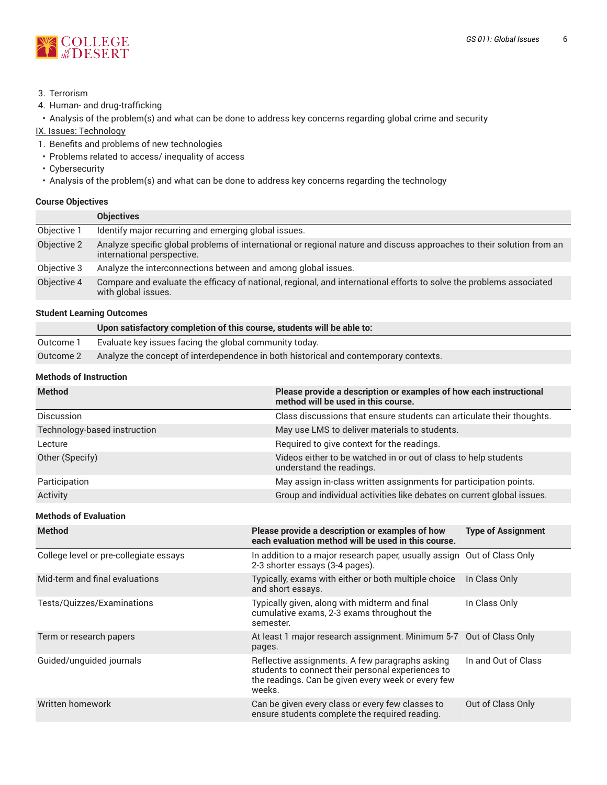

- 3. Terrorism
- 4. Human- and drug-trafficking

• Analysis of the problem(s) and what can be done to address key concerns regarding global crime and security

IX. Issues: Technology

- 1. Benefits and problems of new technologies
- Problems related to access/ inequality of access
- Cybersecurity
- Analysis of the problem(s) and what can be done to address key concerns regarding the technology

#### **Course Objectives**

|             | <b>Objectives</b>                                                                                                                                   |
|-------------|-----------------------------------------------------------------------------------------------------------------------------------------------------|
| Objective 1 | Identify major recurring and emerging global issues.                                                                                                |
| Objective 2 | Analyze specific global problems of international or regional nature and discuss approaches to their solution from an<br>international perspective. |
| Objective 3 | Analyze the interconnections between and among global issues.                                                                                       |
| Objective 4 | Compare and evaluate the efficacy of national, regional, and international efforts to solve the problems associated<br>with global issues.          |

#### **Student Learning Outcomes**

|           | Upon satisfactory completion of this course, students will be able to:               |
|-----------|--------------------------------------------------------------------------------------|
| Outcome 1 | Evaluate key issues facing the global community today.                               |
| Outcome 2 | Analyze the concept of interdependence in both historical and contemporary contexts. |

## **Methods of Instruction**

| <b>Method</b>                | Please provide a description or examples of how each instructional<br>method will be used in this course. |
|------------------------------|-----------------------------------------------------------------------------------------------------------|
| <b>Discussion</b>            | Class discussions that ensure students can articulate their thoughts.                                     |
| Technology-based instruction | May use LMS to deliver materials to students.                                                             |
| Lecture                      | Required to give context for the readings.                                                                |
| Other (Specify)              | Videos either to be watched in or out of class to help students<br>understand the readings.               |
| Participation                | May assign in-class written assignments for participation points.                                         |
| Activity                     | Group and individual activities like debates on current global issues.                                    |

#### **Methods of Evaluation**

| <b>Method</b>                          | Please provide a description or examples of how<br>each evaluation method will be used in this course.                                                               | <b>Type of Assignment</b> |
|----------------------------------------|----------------------------------------------------------------------------------------------------------------------------------------------------------------------|---------------------------|
| College level or pre-collegiate essays | In addition to a major research paper, usually assign Out of Class Only<br>2-3 shorter essays (3-4 pages).                                                           |                           |
| Mid-term and final evaluations         | Typically, exams with either or both multiple choice<br>and short essays.                                                                                            | In Class Only             |
| Tests/Quizzes/Examinations             | Typically given, along with midterm and final<br>cumulative exams, 2-3 exams throughout the<br>semester.                                                             | In Class Only             |
| Term or research papers                | At least 1 major research assignment. Minimum 5-7 Out of Class Only<br>pages.                                                                                        |                           |
| Guided/unguided journals               | Reflective assignments. A few paragraphs asking<br>students to connect their personal experiences to<br>the readings. Can be given every week or every few<br>weeks. | In and Out of Class       |
| Written homework                       | Can be given every class or every few classes to<br>ensure students complete the required reading.                                                                   | Out of Class Only         |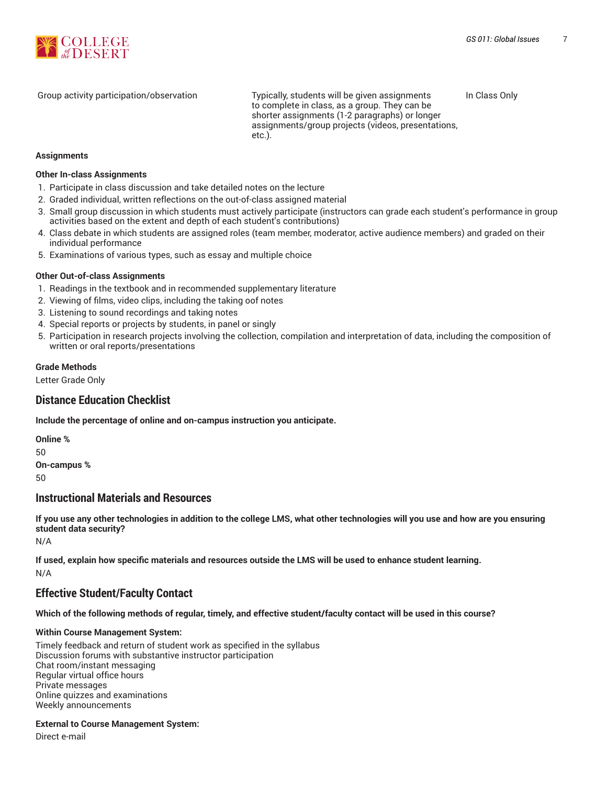

Group activity participation/observation Typically, students will be given assignments to complete in class, as a group. They can be shorter assignments (1-2 paragraphs) or longer assignments/group projects (videos, presentations, etc.). In Class Only

#### **Assignments**

#### **Other In-class Assignments**

- 1. Participate in class discussion and take detailed notes on the lecture
- 2. Graded individual, written reflections on the out-of-class assigned material
- 3. Small group discussion in which students must actively participate (instructors can grade each student's performance in group activities based on the extent and depth of each student's contributions)
- 4. Class debate in which students are assigned roles (team member, moderator, active audience members) and graded on their individual performance
- 5. Examinations of various types, such as essay and multiple choice

#### **Other Out-of-class Assignments**

- 1. Readings in the textbook and in recommended supplementary literature
- 2. Viewing of films, video clips, including the taking oof notes
- 3. Listening to sound recordings and taking notes
- 4. Special reports or projects by students, in panel or singly
- 5. Participation in research projects involving the collection, compilation and interpretation of data, including the composition of written or oral reports/presentations

#### **Grade Methods**

Letter Grade Only

#### **Distance Education Checklist**

**Include the percentage of online and on-campus instruction you anticipate.**

**Online %** 50 **On-campus %**  $50$ 

#### **Instructional Materials and Resources**

If you use any other technologies in addition to the college LMS, what other technologies will you use and how are you ensuring **student data security?**

N/A

**If used, explain how specific materials and resources outside the LMS will be used to enhance student learning.** N/A

## **Effective Student/Faculty Contact**

Which of the following methods of regular, timely, and effective student/faculty contact will be used in this course?

#### **Within Course Management System:**

Timely feedback and return of student work as specified in the syllabus Discussion forums with substantive instructor participation Chat room/instant messaging Regular virtual office hours Private messages Online quizzes and examinations Weekly announcements

#### **External to Course Management System:**

Direct e-mail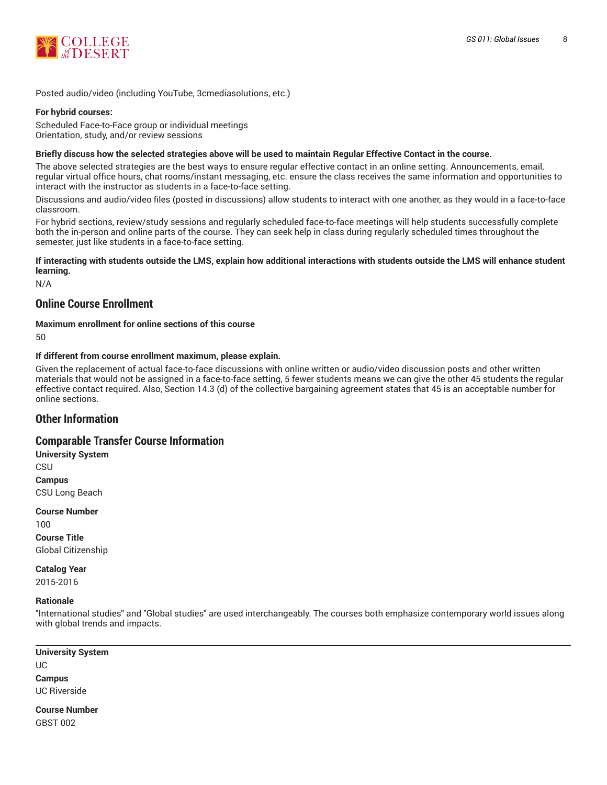

Posted audio/video (including YouTube, 3cmediasolutions, etc.)

#### **For hybrid courses:**

Scheduled Face-to-Face group or individual meetings Orientation, study, and/or review sessions

#### Briefly discuss how the selected strategies above will be used to maintain Regular Effective Contact in the course.

The above selected strategies are the best ways to ensure regular effective contact in an online setting. Announcements, email, regular virtual office hours, chat rooms/instant messaging, etc. ensure the class receives the same information and opportunities to interact with the instructor as students in a face-to-face setting.

Discussions and audio/video files (posted in discussions) allow students to interact with one another, as they would in a face-to-face classroom.

For hybrid sections, review/study sessions and regularly scheduled face-to-face meetings will help students successfully complete both the in-person and online parts of the course. They can seek help in class during regularly scheduled times throughout the semester, just like students in a face-to-face setting.

#### **If interacting with students outside the LMS, explain how additional interactions with students outside the LMS will enhance student learning.**

N/A

## **Online Course Enrollment**

**Maximum enrollment for online sections of this course**

50

#### **If different from course enrollment maximum, please explain.**

Given the replacement of actual face-to-face discussions with online written or audio/video discussion posts and other written materials that would not be assigned in a face-to-face setting, 5 fewer students means we can give the other 45 students the regular effective contact required. Also, Section 14.3 (d) of the collective bargaining agreement states that 45 is an acceptable number for online sections.

## **Other Information**

## **Comparable Transfer Course Information**

**University System** CSU **Campus** CSU Long Beach

**Course Number** 100 **Course Title** Global Citizenship

**Catalog Year** 2015-2016

#### **Rationale**

"International studies" and "Global studies" are used interchangeably. The courses both emphasize contemporary world issues along with global trends and impacts.

**University System** UC **Campus** UC Riverside

**Course Number** GBST 002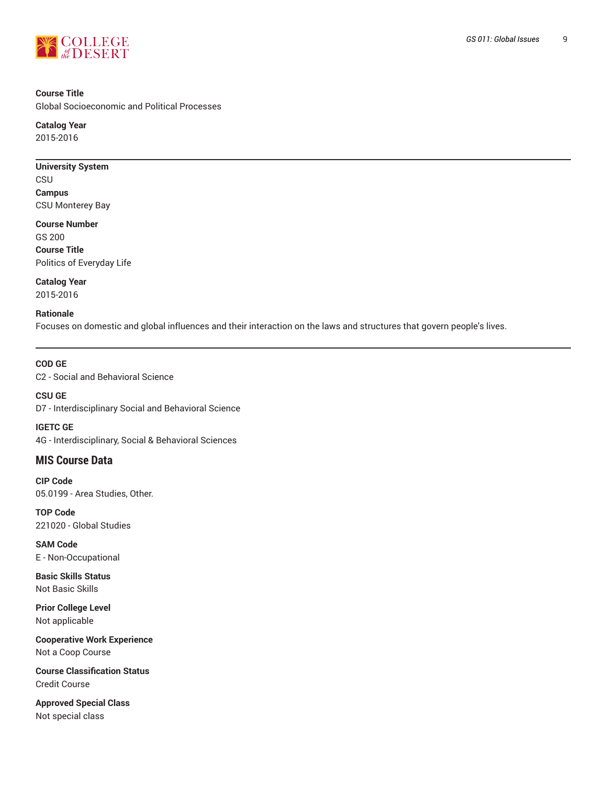

#### **Course Title**

Global Socioeconomic and Political Processes

**Catalog Year** 2015-2016

# **University System**

CSU **Campus** CSU Monterey Bay

**Course Number** GS 200 **Course Title** Politics of Everyday Life

**Catalog Year** 2015-2016

#### **Rationale**

Focuses on domestic and global influences and their interaction on the laws and structures that govern people's lives.

**COD GE** C2 - Social and Behavioral Science

**CSU GE** D7 - Interdisciplinary Social and Behavioral Science

**IGETC GE** 4G - Interdisciplinary, Social & Behavioral Sciences

## **MIS Course Data**

**CIP Code** 05.0199 - Area Studies, Other.

**TOP Code** 221020 - Global Studies

**SAM Code** E - Non-Occupational

**Basic Skills Status** Not Basic Skills

**Prior College Level** Not applicable

**Cooperative Work Experience** Not a Coop Course

**Course Classification Status** Credit Course

**Approved Special Class** Not special class